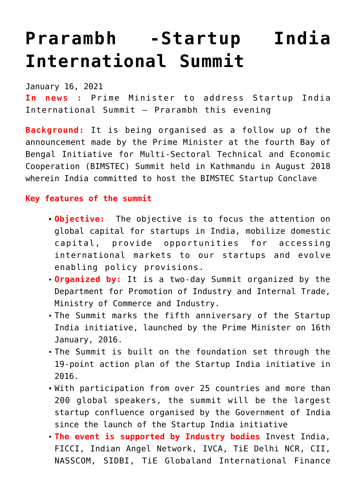# **[Prarambh -Startup India](https://journalsofindia.com/prarambh-startup-india-international-summit/) [International Summit](https://journalsofindia.com/prarambh-startup-india-international-summit/)**

January 16, 2021

**In news :** Prime Minister to address Startup India International Summit – Prarambh this evening

**Background:** It is being organised as a follow up of the announcement made by the Prime Minister at the fourth Bay of Bengal Initiative for Multi-Sectoral Technical and Economic Cooperation (BIMSTEC) Summit held in Kathmandu in August 2018 wherein India committed to host the BIMSTEC Startup Conclave

### **Key features of the summit**

- **Objective:** The objective is to focus the attention on global capital for startups in India, mobilize domestic capital, provide opportunities for accessing international markets to our startups and evolve enabling policy provisions.
- **Organized by:** It is a two-day Summit organized by the Department for Promotion of Industry and Internal Trade, Ministry of Commerce and Industry.
- The Summit marks the fifth anniversary of the Startup India initiative, launched by the Prime Minister on 16th January, 2016.
- The Summit is built on the foundation set through the 19-point action plan of the Startup India initiative in 2016.
- With participation from over 25 countries and more than 200 global speakers, the summit will be the largest startup confluence organised by the Government of India since the launch of the Startup India initiative
- **The event is supported by Industry bodies** Invest India, FICCI, Indian Angel Network, IVCA, TiE Delhi NCR, CII, NASSCOM, SIDBI, TiE Globaland International Finance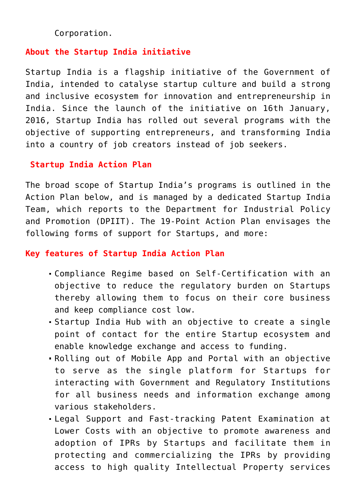Corporation.

## **About the Startup India initiative**

Startup India is a flagship initiative of the Government of India, intended to catalyse startup culture and build a strong and inclusive ecosystem for innovation and entrepreneurship in India. Since the launch of the initiative on 16th January, 2016, Startup India has rolled out several programs with the objective of supporting entrepreneurs, and transforming India into a country of job creators instead of job seekers.

#### **Startup India Action Plan**

The broad scope of Startup India's programs is outlined in the Action Plan below, and is managed by a dedicated Startup India Team, which reports to the Department for Industrial Policy and Promotion (DPIIT). The 19-Point Action Plan envisages the following forms of support for Startups, and more:

#### **Key features of Startup India Action Plan**

- Compliance Regime based on Self-Certification with an objective to reduce the regulatory burden on Startups thereby allowing them to focus on their core business and keep compliance cost low.
- Startup India Hub with an objective to create a single point of contact for the entire Startup ecosystem and enable knowledge exchange and access to funding.
- Rolling out of Mobile App and Portal with an objective to serve as the single platform for Startups for interacting with Government and Regulatory Institutions for all business needs and information exchange among various stakeholders.
- Legal Support and Fast-tracking Patent Examination at Lower Costs with an objective to promote awareness and adoption of IPRs by Startups and facilitate them in protecting and commercializing the IPRs by providing access to high quality Intellectual Property services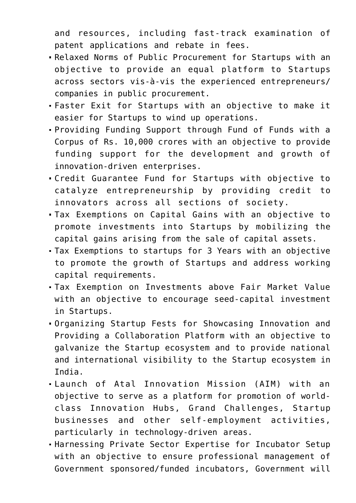and resources, including fast-track examination of patent applications and rebate in fees.

- Relaxed Norms of Public Procurement for Startups with an objective to provide an equal platform to Startups across sectors vis-à-vis the experienced entrepreneurs/ companies in public procurement.
- Faster Exit for Startups with an objective to make it easier for Startups to wind up operations.
- Providing Funding Support through Fund of Funds with a Corpus of Rs. 10,000 crores with an objective to provide funding support for the development and growth of innovation-driven enterprises.
- Credit Guarantee Fund for Startups with objective to catalyze entrepreneurship by providing credit to innovators across all sections of society.
- Tax Exemptions on Capital Gains with an objective to promote investments into Startups by mobilizing the capital gains arising from the sale of capital assets.
- Tax Exemptions to startups for 3 Years with an objective to promote the growth of Startups and address working capital requirements.
- Tax Exemption on Investments above Fair Market Value with an objective to encourage seed-capital investment in Startups.
- Organizing Startup Fests for Showcasing Innovation and Providing a Collaboration Platform with an objective to galvanize the Startup ecosystem and to provide national and international visibility to the Startup ecosystem in India.
- Launch of Atal Innovation Mission (AIM) with an objective to serve as a platform for promotion of worldclass Innovation Hubs, Grand Challenges, Startup businesses and other self-employment activities, particularly in technology-driven areas.
- Harnessing Private Sector Expertise for Incubator Setup with an objective to ensure professional management of Government sponsored/funded incubators, Government will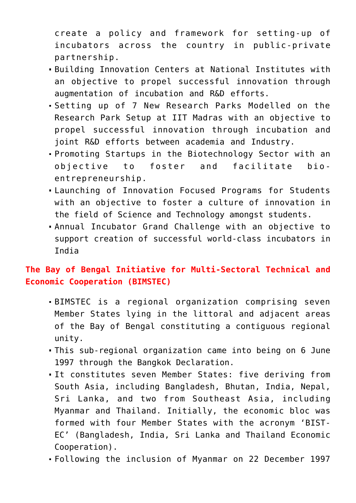create a policy and framework for setting-up of incubators across the country in public-private partnership.

- Building Innovation Centers at National Institutes with an objective to propel successful innovation through augmentation of incubation and R&D efforts.
- Setting up of 7 New Research Parks Modelled on the Research Park Setup at IIT Madras with an objective to propel successful innovation through incubation and joint R&D efforts between academia and Industry.
- Promoting Startups in the Biotechnology Sector with an objective to foster and facilitate bioentrepreneurship.
- Launching of Innovation Focused Programs for Students with an objective to foster a culture of innovation in the field of Science and Technology amongst students.
- Annual Incubator Grand Challenge with an objective to support creation of successful world-class incubators in India

## **The Bay of Bengal Initiative for Multi-Sectoral Technical and Economic Cooperation (BIMSTEC)**

- BIMSTEC is a regional organization comprising seven Member States lying in the littoral and adjacent areas of the Bay of Bengal constituting a contiguous regional unity.
- This sub-regional organization came into being on 6 June 1997 through the Bangkok Declaration.
- It constitutes seven Member States: five deriving from South Asia, including Bangladesh, Bhutan, India, Nepal, Sri Lanka, and two from Southeast Asia, including Myanmar and Thailand. Initially, the economic bloc was formed with four Member States with the acronym 'BIST-EC' (Bangladesh, India, Sri Lanka and Thailand Economic Cooperation).
- Following the inclusion of Myanmar on 22 December 1997